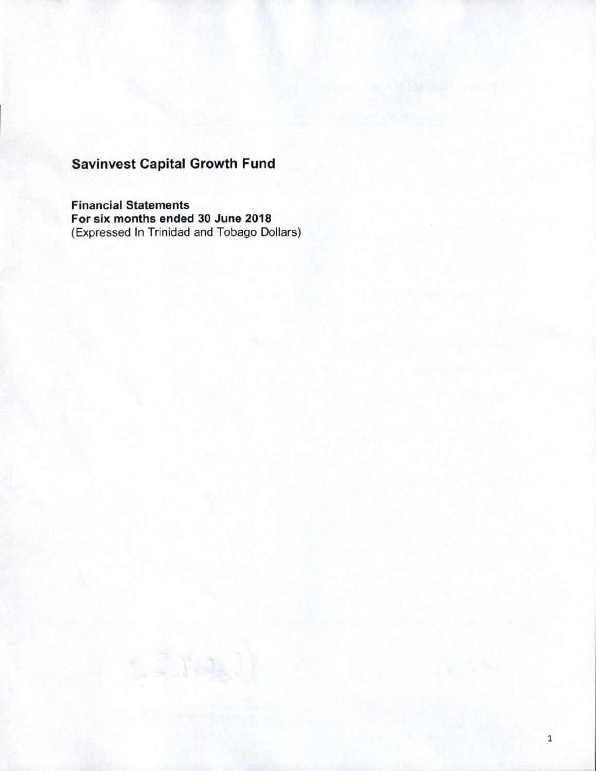**Financial Statements For six months ended 30 June 2018**  (Expressed In Trinidad and Tobago Dollars)

1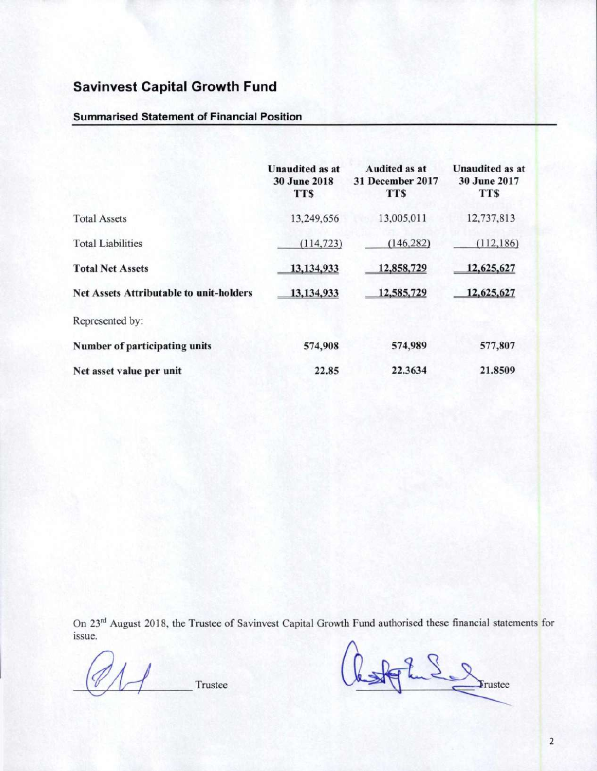#### **Summarised Statement of Financial Position**

|                                                | <b>Unaudited as at</b><br><b>30 June 2018</b><br><b>TTS</b> | Audited as at<br>31 December 2017<br><b>TTS</b> | <b>Unaudited as at</b><br><b>30 June 2017</b><br><b>TTS</b> |
|------------------------------------------------|-------------------------------------------------------------|-------------------------------------------------|-------------------------------------------------------------|
| <b>Total Assets</b>                            | 13,249,656                                                  | 13,005,011                                      | 12,737,813                                                  |
| <b>Total Liabilities</b>                       | (114, 723)                                                  | (146, 282)                                      | (112, 186)                                                  |
| <b>Total Net Assets</b>                        | 13,134,933                                                  | 12,858,729                                      | 12,625,627                                                  |
| <b>Net Assets Attributable to unit-holders</b> | 13,134,933                                                  | 12,585,729                                      | 12,625,627                                                  |
| Represented by:                                |                                                             |                                                 |                                                             |
| Number of participating units                  | 574,908                                                     | 574,989                                         | 577,807                                                     |
| Net asset value per unit                       | 22.85                                                       | 22.3634                                         | 21.8509                                                     |

On 23<sup>rd</sup> August 2018, the Trustee of Savinvest Capital Growth Fund authorised these financial statements for **issue.** 

Trustee bastant de la de la de la de la de la de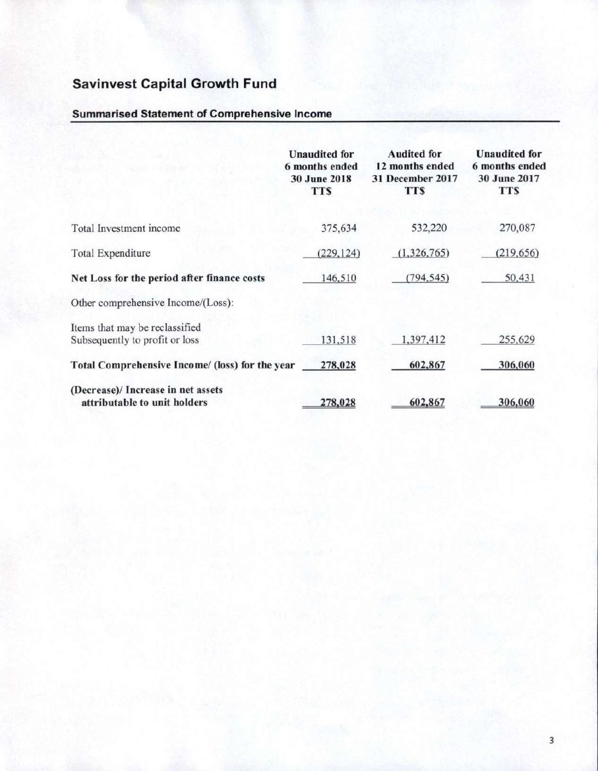## **Summarised Statement of Comprehensive Income**

|                                                 | <b>Unaudited</b> for<br>6 months ended<br><b>30 June 2018</b><br><b>TTS</b> | <b>Audited for</b><br>12 months ended<br>31 December 2017<br>TT\$ | <b>Unaudited</b> for<br>6 months ended<br>30 June 2017<br><b>TTS</b> |
|-------------------------------------------------|-----------------------------------------------------------------------------|-------------------------------------------------------------------|----------------------------------------------------------------------|
| Total Investment income                         | 375,634                                                                     | 532,220                                                           | 270,087                                                              |
| <b>Total Expenditure</b>                        | (229, 124)                                                                  | (1,326,765)                                                       | (219, 656)                                                           |
| Net Loss for the period after finance costs     | 146,510                                                                     | (794, 545)                                                        | 50,431                                                               |
| Other comprehensive Income/(Loss):              |                                                                             |                                                                   |                                                                      |
| Items that may be reclassified                  |                                                                             |                                                                   |                                                                      |
| Subsequently to profit or loss                  | 131,518                                                                     | 1,397,412                                                         | 255,629                                                              |
| Total Comprehensive Income/ (loss) for the year | 278,028                                                                     | 602,867                                                           | 306,060                                                              |
| (Decrease)/ Increase in net assets              |                                                                             |                                                                   |                                                                      |
| attributable to unit holders                    | 278,028                                                                     | 602,867                                                           | 306,060                                                              |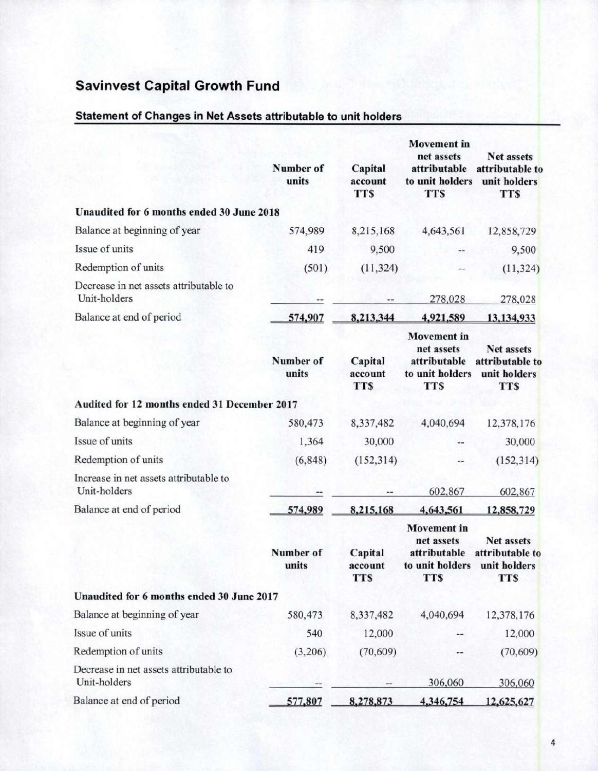### Statement of Changes in Net Assets attributable to unit holders

|                                                        | Number of<br>units | Capital<br>account<br><b>TTS</b> | <b>Movement</b> in<br>net assets<br>attributable<br>to unit holders<br><b>TTS</b> | <b>Net assets</b><br>attributable to<br>unit holders<br><b>TTS</b> |
|--------------------------------------------------------|--------------------|----------------------------------|-----------------------------------------------------------------------------------|--------------------------------------------------------------------|
| Unaudited for 6 months ended 30 June 2018              |                    |                                  |                                                                                   |                                                                    |
| Balance at beginning of year                           | 574,989            | 8,215,168                        | 4,643,561                                                                         | 12,858,729                                                         |
| Issue of units                                         | 419                | 9,500                            |                                                                                   | 9,500                                                              |
| Redemption of units                                    | (501)              | (11, 324)                        |                                                                                   | (11, 324)                                                          |
| Decrease in net assets attributable to<br>Unit-holders |                    |                                  | 278,028                                                                           | 278,028                                                            |
| Balance at end of period                               | 574,907            | 8,213,344                        | 4,921,589                                                                         | 13,134,933                                                         |
|                                                        | Number of<br>units | Capital<br>account<br><b>TTS</b> | <b>Movement</b> in<br>net assets<br>attributable<br>to unit holders<br><b>TTS</b> | <b>Net assets</b><br>attributable to<br>unit holders<br><b>TTS</b> |
| Audited for 12 months ended 31 December 2017           |                    |                                  |                                                                                   |                                                                    |
| Balance at beginning of year                           | 580,473            | 8,337,482                        | 4,040,694                                                                         | 12,378,176                                                         |
| Issue of units                                         | 1,364              | 30,000                           |                                                                                   | 30,000                                                             |
| Redemption of units                                    | (6, 848)           | (152, 314)                       | --                                                                                | (152, 314)                                                         |
| Increase in net assets attributable to<br>Unit-holders |                    |                                  | 602,867                                                                           | 602,867                                                            |
| Balance at end of period                               | 574,989            | 8,215,168                        | 4,643,561                                                                         | 12,858,729                                                         |
|                                                        | Number of<br>units | Capital<br>account<br><b>TTS</b> | <b>Movement</b> in<br>net assets<br>attributable<br>to unit holders<br>TTS        | <b>Net assets</b><br>attributable to<br>unit holders<br><b>TTS</b> |
| Unaudited for 6 months ended 30 June 2017              |                    |                                  |                                                                                   |                                                                    |
| Balance at beginning of year                           | 580,473            | 8,337,482                        | 4,040,694                                                                         | 12,378,176                                                         |
| Issue of units                                         | 540                | 12,000                           |                                                                                   | 12,000                                                             |
| Redemption of units                                    | (3,206)            | (70, 609)                        | --                                                                                | (70, 609)                                                          |
| Decrease in net assets attributable to<br>Unit-holders |                    |                                  | 306,060                                                                           | 306,060                                                            |
| Balance at end of period                               | 577,807            | 8,278,873                        | 4,346,754                                                                         | 12,625,627                                                         |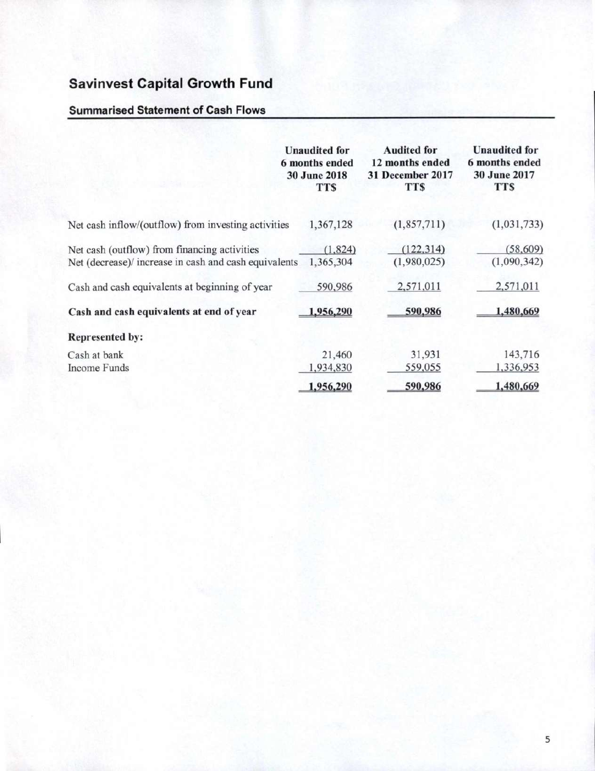## **Summarised Statement of Cash Flows**

|                                                       | <b>Unaudited for</b><br>6 months ended<br><b>30 June 2018</b><br><b>TTS</b> | <b>Audited for</b><br>12 months ended<br>31 December 2017<br><b>TTS</b> | <b>Unaudited for</b><br>6 months ended<br><b>30 June 2017</b><br><b>TTS</b> |
|-------------------------------------------------------|-----------------------------------------------------------------------------|-------------------------------------------------------------------------|-----------------------------------------------------------------------------|
| Net cash inflow/(outflow) from investing activities   | 1,367,128                                                                   | (1, 857, 711)                                                           | (1,031,733)                                                                 |
| Net cash (outflow) from financing activities          | (1,824)                                                                     | (122, 314)                                                              | (58, 609)                                                                   |
| Net (decrease)/ increase in cash and cash equivalents | 1,365,304                                                                   | (1,980,025)                                                             | (1,090,342)                                                                 |
| Cash and cash equivalents at beginning of year        | 590,986                                                                     | 2,571,011                                                               | 2,571,011                                                                   |
| Cash and cash equivalents at end of year              | 1,956,290                                                                   | 590,986                                                                 | 1,480,669                                                                   |
| <b>Represented by:</b>                                |                                                                             |                                                                         |                                                                             |
| Cash at bank                                          | 21,460                                                                      | 31,931                                                                  | 143,716                                                                     |
| <b>Income Funds</b>                                   | 1,934,830                                                                   | 559,055                                                                 | 1,336,953                                                                   |
|                                                       | 1,956,290                                                                   | 590,986                                                                 | 1,480,669                                                                   |